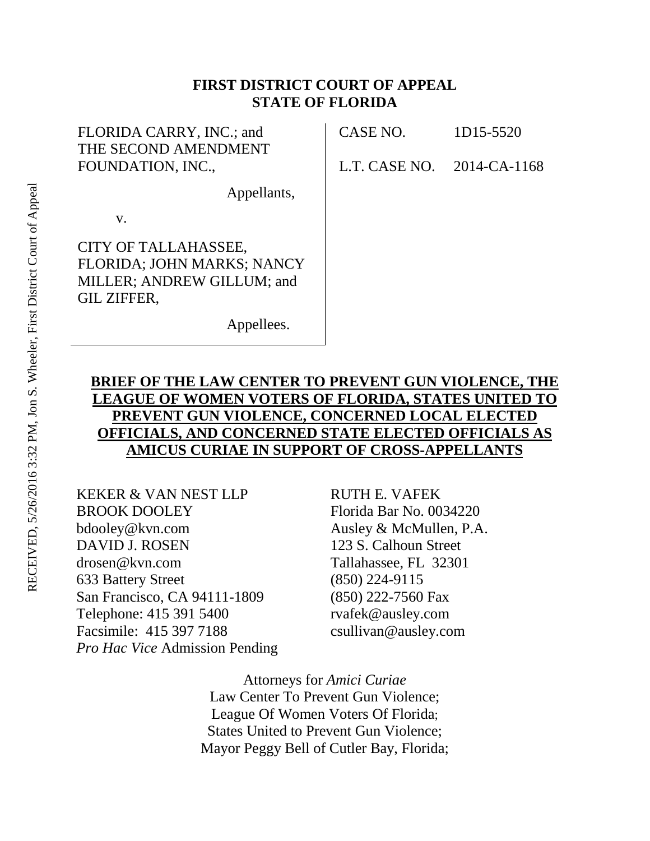## **FIRST DISTRICT COURT OF APPEAL STATE OF FLORIDA**

| FLORIDA CARRY, INC.; and<br>THE SECOND AMENDMENT                                                       | CASE NO.      | 1D15-5520    |
|--------------------------------------------------------------------------------------------------------|---------------|--------------|
| FOUNDATION, INC.,                                                                                      | L.T. CASE NO. | 2014-CA-1168 |
| Appellants,                                                                                            |               |              |
| V.                                                                                                     |               |              |
| CITY OF TALLAHASSEE,<br>FLORIDA; JOHN MARKS; NANCY<br>MILLER; ANDREW GILLUM; and<br><b>GIL ZIFFER,</b> |               |              |
| Appellees.                                                                                             |               |              |

# **BRIEF OF THE LAW CENTER TO PREVENT GUN VIOLENCE, THE LEAGUE OF WOMEN VOTERS OF FLORIDA, STATES UNITED TO PREVENT GUN VIOLENCE, CONCERNED LOCAL ELECTED OFFICIALS, AND CONCERNED STATE ELECTED OFFICIALS AS AMICUS CURIAE IN SUPPORT OF CROSS-APPELLANTS**

KEKER & VAN NEST LLP BROOK DOOLEY bdooley@kvn.com DAVID J. ROSEN drosen@kvn.com 633 Battery Street San Francisco, CA 94111-1809 Telephone: 415 391 5400 Facsimile: 415 397 7188 *Pro Hac Vice* Admission Pending

RUTH E. VAFEK Florida Bar No. 0034220 Ausley & McMullen, P.A. 123 S. Calhoun Street Tallahassee, FL 32301 (850) 224-9115 (850) 222-7560 Fax rvafek@ausley.com csullivan@ausley.com

Attorneys for *Amici Curiae* Law Center To Prevent Gun Violence; League Of Women Voters Of Florida; States United to Prevent Gun Violence; Mayor Peggy Bell of Cutler Bay, Florida;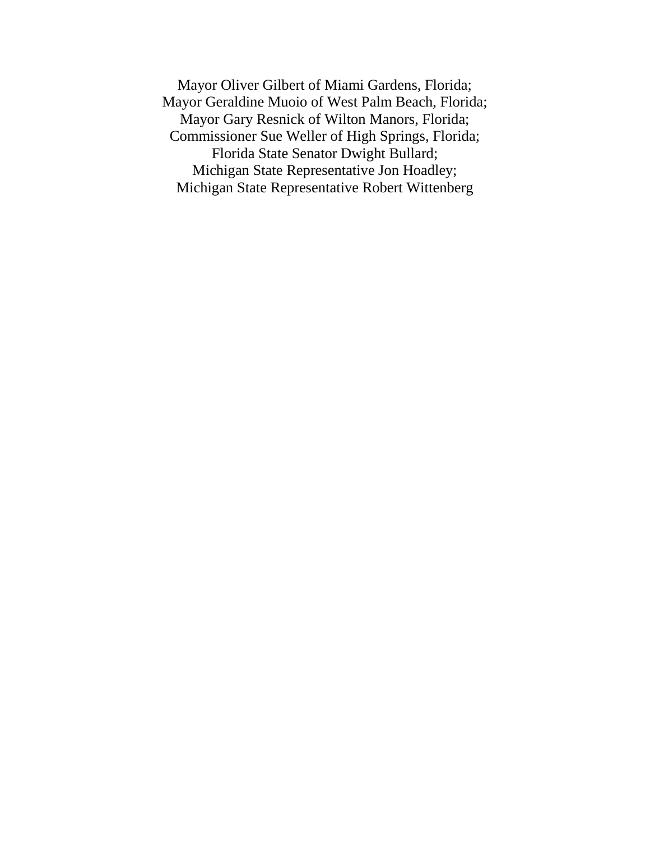Mayor Oliver Gilbert of Miami Gardens, Florida; Mayor Geraldine Muoio of West Palm Beach, Florida; Mayor Gary Resnick of Wilton Manors, Florida; Commissioner Sue Weller of High Springs, Florida; Florida State Senator Dwight Bullard; Michigan State Representative Jon Hoadley; Michigan State Representative Robert Wittenberg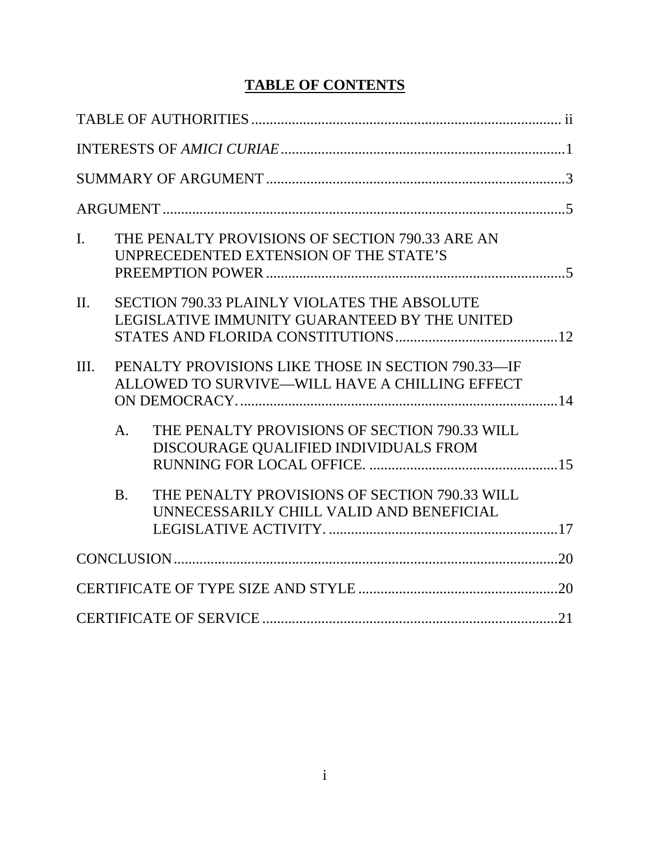# **TABLE OF CONTENTS**

| $\overline{I}$ . |                | THE PENALTY PROVISIONS OF SECTION 790.33 ARE AN<br>UNPRECEDENTED EXTENSION OF THE STATE'S            |  |
|------------------|----------------|------------------------------------------------------------------------------------------------------|--|
| $\Pi$ .          |                | SECTION 790.33 PLAINLY VIOLATES THE ABSOLUTE<br>LEGISLATIVE IMMUNITY GUARANTEED BY THE UNITED        |  |
| III.             |                | PENALTY PROVISIONS LIKE THOSE IN SECTION 790.33-IF<br>ALLOWED TO SURVIVE-WILL HAVE A CHILLING EFFECT |  |
|                  | A <sub>1</sub> | THE PENALTY PROVISIONS OF SECTION 790.33 WILL<br>DISCOURAGE QUALIFIED INDIVIDUALS FROM               |  |
|                  | $\mathbf{B}$ . | THE PENALTY PROVISIONS OF SECTION 790.33 WILL<br>UNNECESSARILY CHILL VALID AND BENEFICIAL            |  |
|                  |                |                                                                                                      |  |
|                  |                |                                                                                                      |  |
|                  |                |                                                                                                      |  |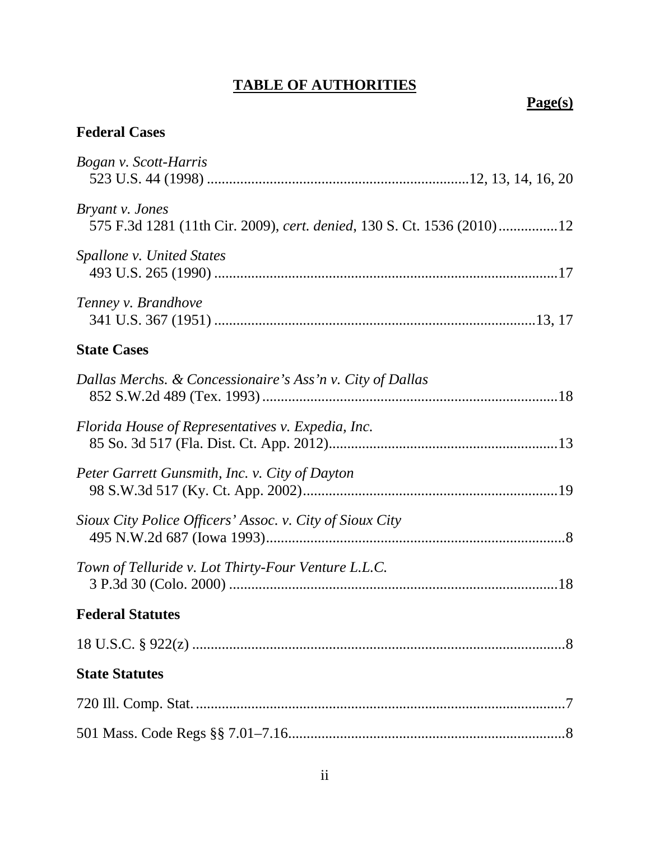# **TABLE OF AUTHORITIES**

# **Page(s)**

# **Federal Cases**

| Bogan v. Scott-Harris                                                                     |
|-------------------------------------------------------------------------------------------|
| Bryant v. Jones<br>575 F.3d 1281 (11th Cir. 2009), cert. denied, 130 S. Ct. 1536 (2010)12 |
| Spallone v. United States                                                                 |
| Tenney v. Brandhove                                                                       |
| <b>State Cases</b>                                                                        |
| Dallas Merchs. & Concessionaire's Ass'n v. City of Dallas                                 |
| Florida House of Representatives v. Expedia, Inc.                                         |
| Peter Garrett Gunsmith, Inc. v. City of Dayton                                            |
| Sioux City Police Officers' Assoc. v. City of Sioux City                                  |
| Town of Telluride v. Lot Thirty-Four Venture L.L.C.                                       |
| <b>Federal Statutes</b>                                                                   |
|                                                                                           |
| <b>State Statutes</b>                                                                     |
|                                                                                           |
|                                                                                           |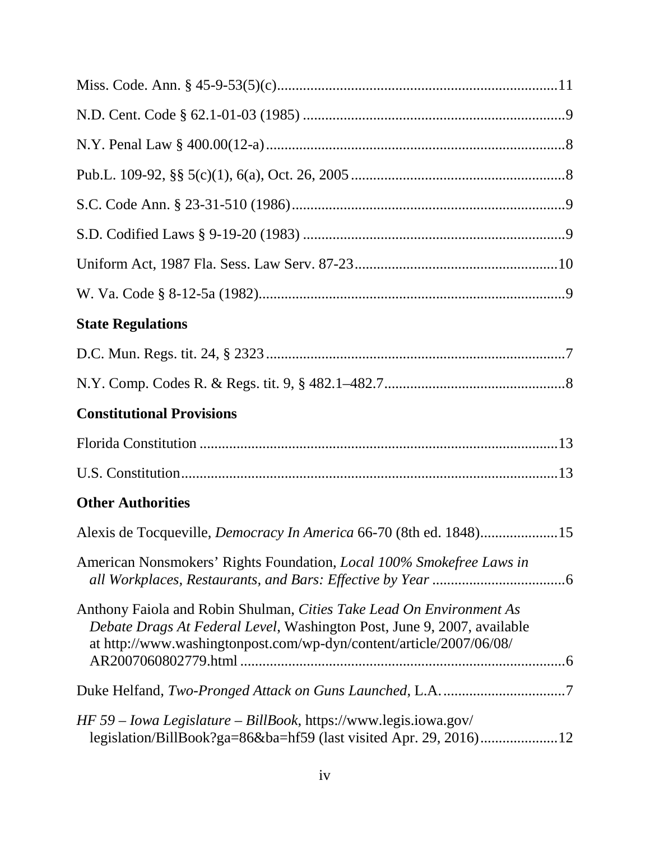| <b>State Regulations</b>                                                                                                                                                                                               |
|------------------------------------------------------------------------------------------------------------------------------------------------------------------------------------------------------------------------|
|                                                                                                                                                                                                                        |
|                                                                                                                                                                                                                        |
| <b>Constitutional Provisions</b>                                                                                                                                                                                       |
|                                                                                                                                                                                                                        |
|                                                                                                                                                                                                                        |
| <b>Other Authorities</b>                                                                                                                                                                                               |
| Alexis de Tocqueville, Democracy In America 66-70 (8th ed. 1848)15                                                                                                                                                     |
| American Nonsmokers' Rights Foundation, <i>Local 100% Smokefree Laws in</i>                                                                                                                                            |
| Anthony Faiola and Robin Shulman, Cities Take Lead On Environment As<br>Debate Drags At Federal Level, Washington Post, June 9, 2007, available<br>at http://www.washingtonpost.com/wp-dyn/content/article/2007/06/08/ |
|                                                                                                                                                                                                                        |
| HF 59 – Iowa Legislature – BillBook, https://www.legis.iowa.gov/<br>legislation/BillBook?ga=86&ba=hf59 (last visited Apr. 29, 2016)12                                                                                  |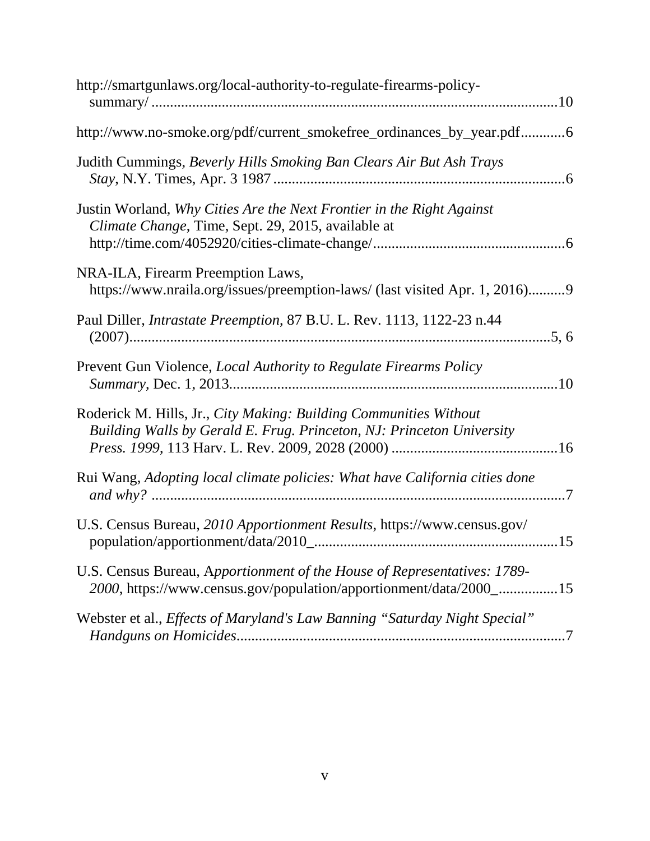| http://smartgunlaws.org/local-authority-to-regulate-firearms-policy-                                                                           |
|------------------------------------------------------------------------------------------------------------------------------------------------|
| http://www.no-smoke.org/pdf/current_smokefree_ordinances_by_year.pdf6                                                                          |
| Judith Cummings, Beverly Hills Smoking Ban Clears Air But Ash Trays                                                                            |
| Justin Worland, Why Cities Are the Next Frontier in the Right Against<br>Climate Change, Time, Sept. 29, 2015, available at                    |
| NRA-ILA, Firearm Preemption Laws,<br>https://www.nraila.org/issues/preemption-laws/ (last visited Apr. 1, 2016)9                               |
| Paul Diller, <i>Intrastate Preemption</i> , 87 B.U. L. Rev. 1113, 1122-23 n.44                                                                 |
| Prevent Gun Violence, <i>Local Authority to Regulate Firearms Policy</i>                                                                       |
| Roderick M. Hills, Jr., City Making: Building Communities Without<br>Building Walls by Gerald E. Frug. Princeton, NJ: Princeton University     |
| Rui Wang, Adopting local climate policies: What have California cities done                                                                    |
| U.S. Census Bureau, 2010 Apportionment Results, https://www.census.gov/                                                                        |
| U.S. Census Bureau, Apportionment of the House of Representatives: 1789-<br>2000, https://www.census.gov/population/apportionment/data/2000_15 |
| Webster et al., Effects of Maryland's Law Banning "Saturday Night Special"                                                                     |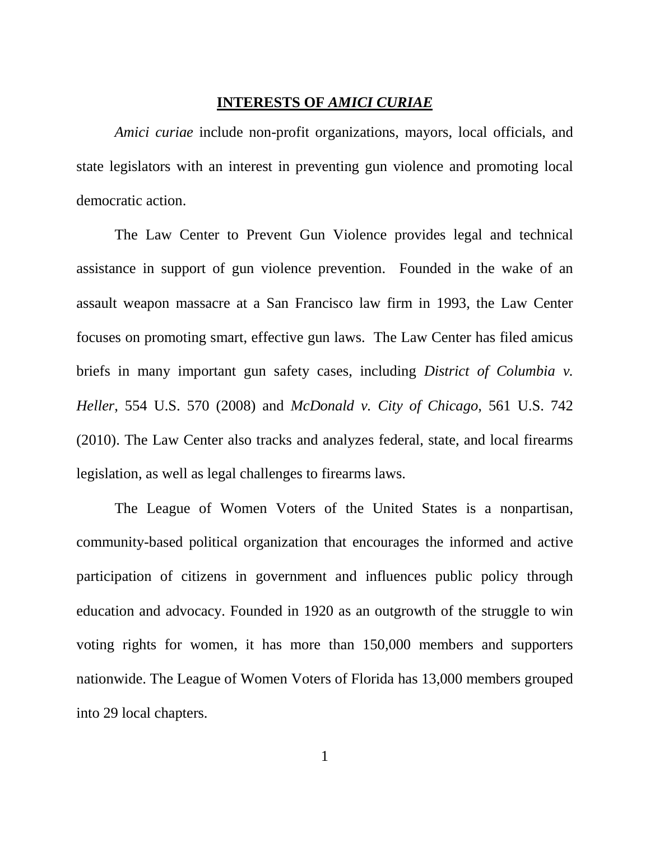#### **INTERESTS OF** *AMICI CURIAE*

*Amici curiae* include non-profit organizations, mayors, local officials, and state legislators with an interest in preventing gun violence and promoting local democratic action.

The Law Center to Prevent Gun Violence provides legal and technical assistance in support of gun violence prevention. Founded in the wake of an assault weapon massacre at a San Francisco law firm in 1993, the Law Center focuses on promoting smart, effective gun laws. The Law Center has filed amicus briefs in many important gun safety cases, including *District of Columbia v. Heller*, 554 U.S. 570 (2008) and *McDonald v. City of Chicago*, 561 U.S. 742 (2010). The Law Center also tracks and analyzes federal, state, and local firearms legislation, as well as legal challenges to firearms laws.

The League of Women Voters of the United States is a nonpartisan, community-based political organization that encourages the informed and active participation of citizens in government and influences public policy through education and advocacy. Founded in 1920 as an outgrowth of the struggle to win voting rights for women, it has more than 150,000 members and supporters nationwide. The League of Women Voters of Florida has 13,000 members grouped into 29 local chapters.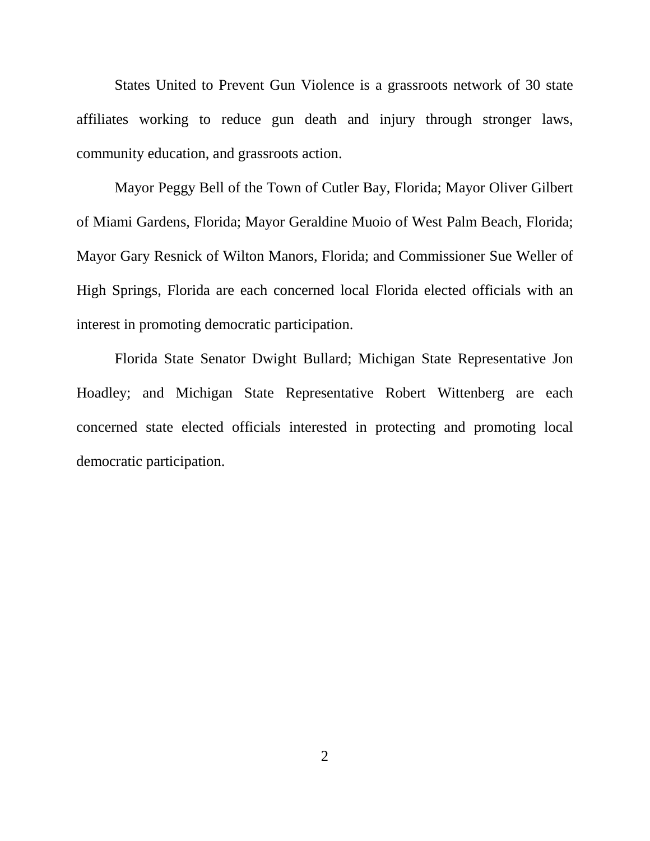States United to Prevent Gun Violence is a grassroots network of 30 state affiliates working to reduce gun death and injury through stronger laws, community education, and grassroots action.

Mayor Peggy Bell of the Town of Cutler Bay, Florida; Mayor Oliver Gilbert of Miami Gardens, Florida; Mayor Geraldine Muoio of West Palm Beach, Florida; Mayor Gary Resnick of Wilton Manors, Florida; and Commissioner Sue Weller of High Springs, Florida are each concerned local Florida elected officials with an interest in promoting democratic participation.

Florida State Senator Dwight Bullard; Michigan State Representative Jon Hoadley; and Michigan State Representative Robert Wittenberg are each concerned state elected officials interested in protecting and promoting local democratic participation.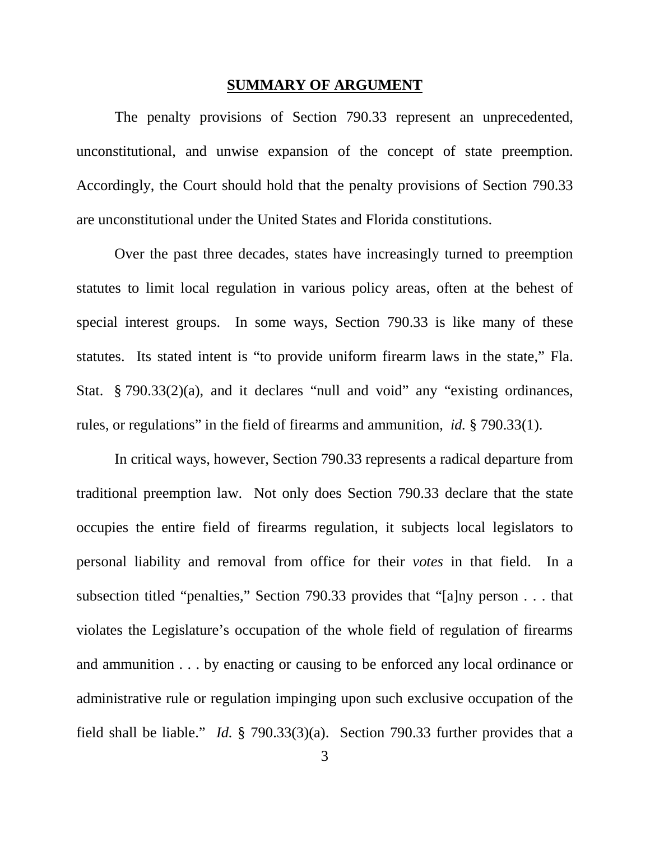#### <span id="page-9-0"></span>**SUMMARY OF ARGUMENT**

The penalty provisions of Section 790.33 represent an unprecedented, unconstitutional, and unwise expansion of the concept of state preemption. Accordingly, the Court should hold that the penalty provisions of Section 790.33 are unconstitutional under the United States and Florida constitutions.

Over the past three decades, states have increasingly turned to preemption statutes to limit local regulation in various policy areas, often at the behest of special interest groups. In some ways, Section 790.33 is like many of these statutes. Its stated intent is "to provide uniform firearm laws in the state," Fla. Stat. § 790.33(2)(a), and it declares "null and void" any "existing ordinances, rules, or regulations" in the field of firearms and ammunition, *id.* § 790.33(1).

In critical ways, however, Section 790.33 represents a radical departure from traditional preemption law. Not only does Section 790.33 declare that the state occupies the entire field of firearms regulation, it subjects local legislators to personal liability and removal from office for their *votes* in that field. In a subsection titled "penalties," Section 790.33 provides that "[a]ny person . . . that violates the Legislature's occupation of the whole field of regulation of firearms and ammunition . . . by enacting or causing to be enforced any local ordinance or administrative rule or regulation impinging upon such exclusive occupation of the field shall be liable." *Id.* § 790.33(3)(a). Section 790.33 further provides that a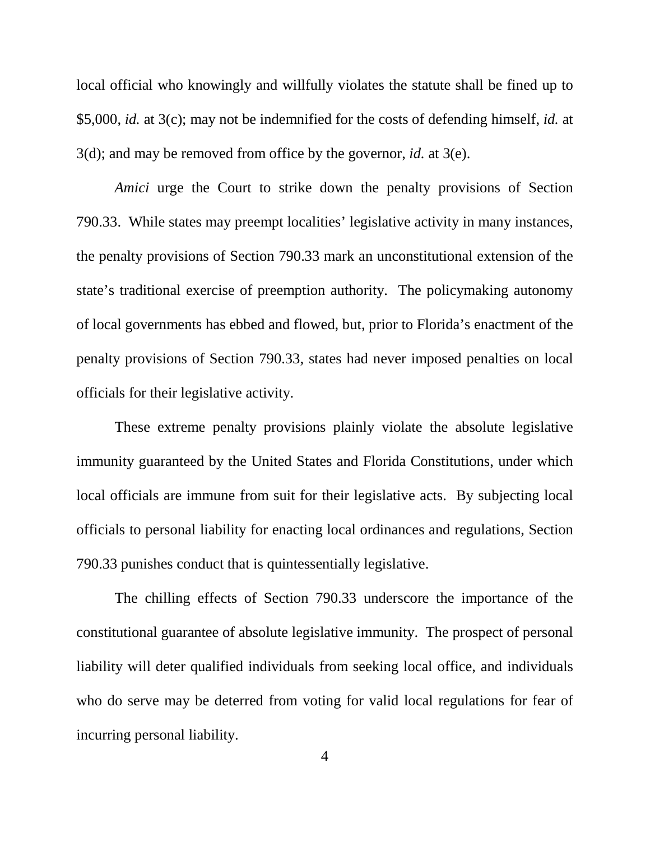local official who knowingly and willfully violates the statute shall be fined up to \$5,000, *id.* at 3(c); may not be indemnified for the costs of defending himself, *id.* at 3(d); and may be removed from office by the governor, *id.* at 3(e).

*Amici* urge the Court to strike down the penalty provisions of Section 790.33. While states may preempt localities' legislative activity in many instances, the penalty provisions of Section 790.33 mark an unconstitutional extension of the state's traditional exercise of preemption authority. The policymaking autonomy of local governments has ebbed and flowed, but, prior to Florida's enactment of the penalty provisions of Section 790.33, states had never imposed penalties on local officials for their legislative activity.

These extreme penalty provisions plainly violate the absolute legislative immunity guaranteed by the United States and Florida Constitutions, under which local officials are immune from suit for their legislative acts. By subjecting local officials to personal liability for enacting local ordinances and regulations, Section 790.33 punishes conduct that is quintessentially legislative.

The chilling effects of Section 790.33 underscore the importance of the constitutional guarantee of absolute legislative immunity. The prospect of personal liability will deter qualified individuals from seeking local office, and individuals who do serve may be deterred from voting for valid local regulations for fear of incurring personal liability.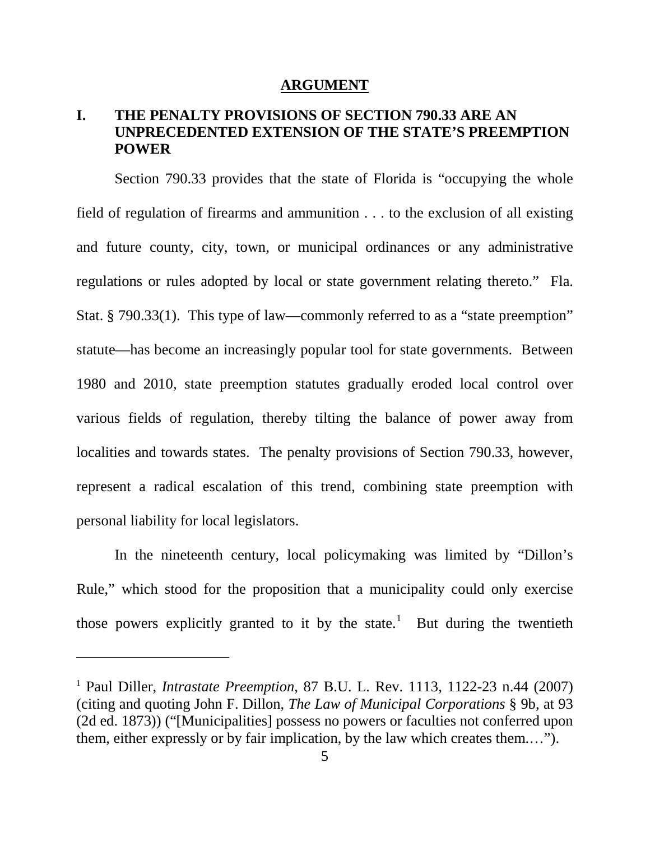## <span id="page-11-0"></span>**ARGUMENT**

# **I. THE PENALTY PROVISIONS OF SECTION 790.33 ARE AN UNPRECEDENTED EXTENSION OF THE STATE'S PREEMPTION POWER**

Section 790.33 provides that the state of Florida is "occupying the whole field of regulation of firearms and ammunition . . . to the exclusion of all existing and future county, city, town, or municipal ordinances or any administrative regulations or rules adopted by local or state government relating thereto." Fla. Stat. § 790.33(1). This type of law—commonly referred to as a "state preemption" statute—has become an increasingly popular tool for state governments. Between 1980 and 2010, state preemption statutes gradually eroded local control over various fields of regulation, thereby tilting the balance of power away from localities and towards states. The penalty provisions of Section 790.33, however, represent a radical escalation of this trend, combining state preemption with personal liability for local legislators.

In the nineteenth century, local policymaking was limited by "Dillon's Rule," which stood for the proposition that a municipality could only exercise those powers explicitly granted to it by the state.<sup>[1](#page-11-2)</sup> But during the twentieth

<span id="page-11-2"></span><span id="page-11-1"></span><sup>1</sup> Paul Diller, *Intrastate Preemption*, 87 B.U. L. Rev. 1113, 1122-23 n.44 (2007) (citing and quoting John F. Dillon, *The Law of Municipal Corporations* § 9b, at 93 (2d ed. 1873)) ("[Municipalities] possess no powers or faculties not conferred upon them, either expressly or by fair implication, by the law which creates them.…").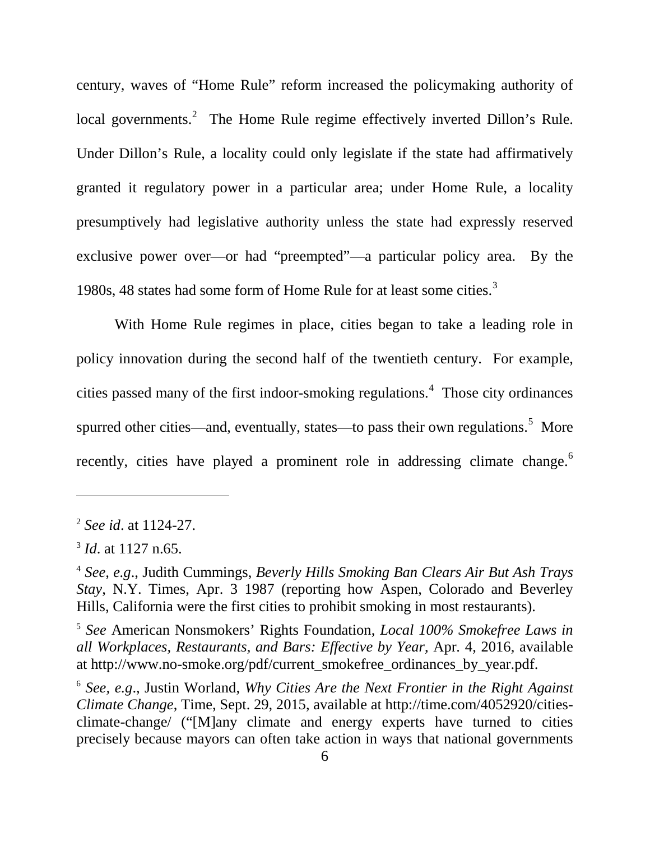century, waves of "Home Rule" reform increased the policymaking authority of local governments.<sup>[2](#page-12-5)</sup> The Home Rule regime effectively inverted Dillon's Rule. Under Dillon's Rule, a locality could only legislate if the state had affirmatively granted it regulatory power in a particular area; under Home Rule, a locality presumptively had legislative authority unless the state had expressly reserved exclusive power over—or had "preempted"—a particular policy area. By the 1980s, 48 states had some form of Home Rule for at least some cities.<sup>[3](#page-12-6)</sup>

With Home Rule regimes in place, cities began to take a leading role in policy innovation during the second half of the twentieth century. For example, cities passed many of the first indoor-smoking regulations.<sup>[4](#page-12-7)</sup> Those city ordinances spurred other cities—and, eventually, states—to pass their own regulations.<sup>[5](#page-12-8)</sup> More recently, cities have played a prominent role in addressing climate change.<sup>[6](#page-12-9)</sup>

<span id="page-12-5"></span><span id="page-12-4"></span><sup>2</sup> *See id*. at 1124-27.

<span id="page-12-6"></span><sup>3</sup> *Id*. at 1127 n.65.

<span id="page-12-7"></span><span id="page-12-2"></span><sup>4</sup> *See, e.g*., Judith Cummings, *Beverly Hills Smoking Ban Clears Air But Ash Trays Stay*, N.Y. Times, Apr. 3 1987 (reporting how Aspen, Colorado and Beverley Hills, California were the first cities to prohibit smoking in most restaurants).

<span id="page-12-8"></span><span id="page-12-0"></span><sup>5</sup> *See* American Nonsmokers' Rights Foundation, *Local 100% Smokefree Laws in all Workplaces, Restaurants, and Bars: Effective by Year*, Apr. 4, 2016, available at http://www.no-smoke.org/pdf/current\_smokefree\_ordinances\_by\_year.pdf.

<span id="page-12-9"></span><span id="page-12-3"></span><span id="page-12-1"></span><sup>6</sup> *See, e.g*., Justin Worland, *Why Cities Are the Next Frontier in the Right Against Climate Change*, Time, Sept. 29, 2015, available at http://time.com/4052920/citiesclimate-change/ ("[M]any climate and energy experts have turned to cities precisely because mayors can often take action in ways that national governments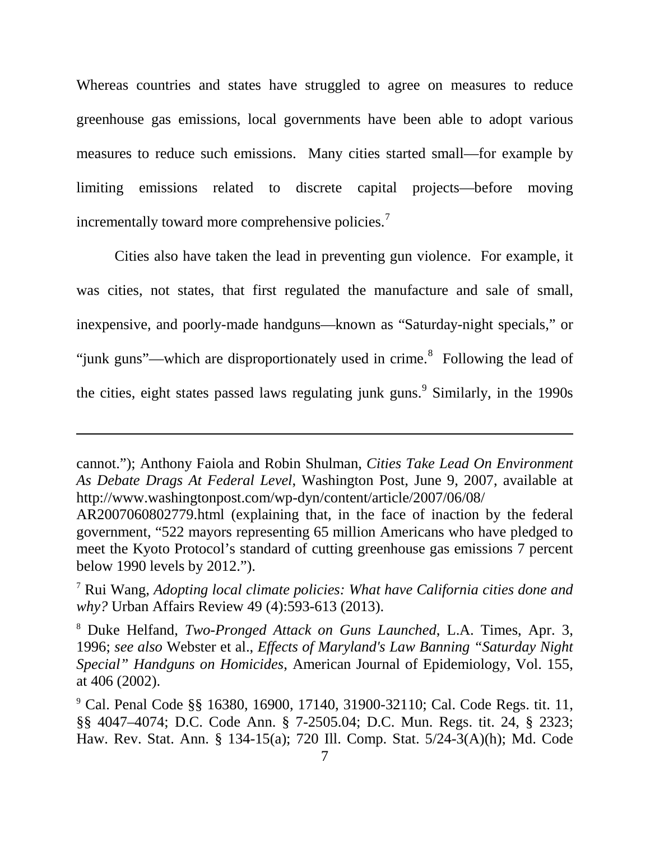Whereas countries and states have struggled to agree on measures to reduce greenhouse gas emissions, local governments have been able to adopt various measures to reduce such emissions. Many cities started small—for example by limiting emissions related to discrete capital projects—before moving incrementally toward more comprehensive policies.<sup>[7](#page-13-11)</sup>

Cities also have taken the lead in preventing gun violence. For example, it was cities, not states, that first regulated the manufacture and sale of small, inexpensive, and poorly-made handguns—known as "Saturday-night specials," or "junk guns"—which are disproportionately used in crime. $\delta$  Following the lead of the cities, eight states passed laws regulating junk guns.<sup>[9](#page-13-13)</sup> Similarly, in the 1990s

<span id="page-13-7"></span>cannot."); Anthony Faiola and Robin Shulman, *Cities Take Lead On Environment As Debate Drags At Federal Level*, Washington Post, June 9, 2007, available at http://www.washingtonpost.com/wp-dyn/content/article/2007/06/08/

AR2007060802779.html (explaining that, in the face of inaction by the federal government, "522 mayors representing 65 million Americans who have pledged to meet the Kyoto Protocol's standard of cutting greenhouse gas emissions 7 percent below 1990 levels by 2012.").

<span id="page-13-11"></span><span id="page-13-9"></span><sup>7</sup> Rui Wang, *Adopting local climate policies: What have California cities done and why?* Urban Affairs Review 49 (4):593-613 (2013).

<span id="page-13-12"></span><span id="page-13-10"></span><span id="page-13-8"></span><sup>8</sup> Duke Helfand, *Two-Pronged Attack on Guns Launched*, L.A. Times, Apr. 3, 1996; *see also* Webster et al., *Effects of Maryland's Law Banning "Saturday Night Special" Handguns on Homicides*, American Journal of Epidemiology, Vol. 155, at 406 (2002).

<span id="page-13-13"></span><span id="page-13-6"></span><span id="page-13-5"></span><span id="page-13-4"></span><span id="page-13-3"></span><span id="page-13-2"></span><span id="page-13-1"></span><span id="page-13-0"></span><sup>9</sup> Cal. Penal Code §§ 16380, 16900, 17140, 31900-32110; Cal. Code Regs. tit. 11, §§ 4047–4074; D.C. Code Ann. § 7-2505.04; D.C. Mun. Regs. tit. 24, § 2323; Haw. Rev. Stat. Ann. § 134-15(a); 720 Ill. Comp. Stat. 5/24-3(A)(h); Md. Code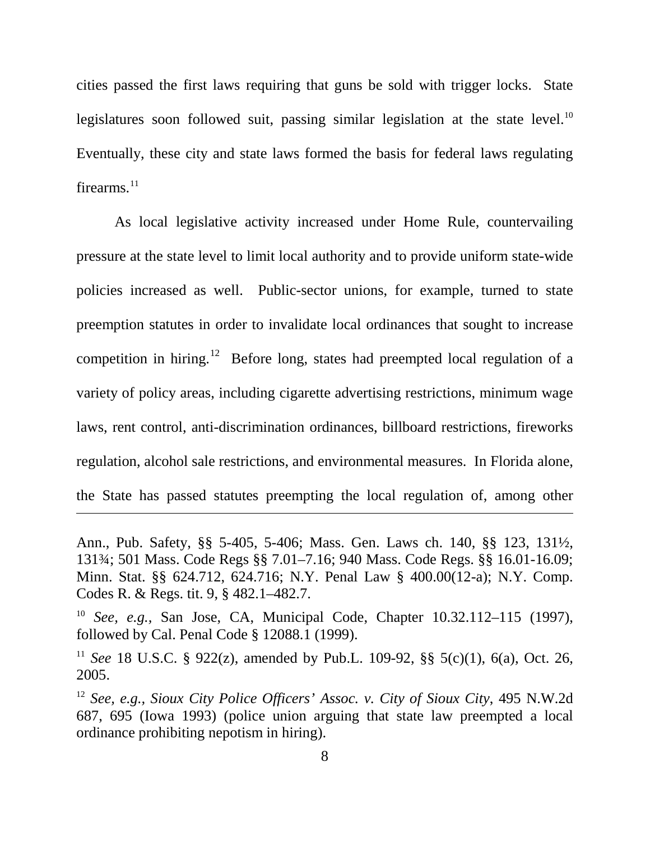cities passed the first laws requiring that guns be sold with trigger locks. State legislatures soon followed suit, passing similar legislation at the state level.<sup>[10](#page-14-11)</sup> Eventually, these city and state laws formed the basis for federal laws regulating firearms. $^{11}$  $^{11}$  $^{11}$ 

As local legislative activity increased under Home Rule, countervailing pressure at the state level to limit local authority and to provide uniform state-wide policies increased as well. Public-sector unions, for example, turned to state preemption statutes in order to invalidate local ordinances that sought to increase competition in hiring.<sup>[12](#page-14-13)</sup> Before long, states had preempted local regulation of a variety of policy areas, including cigarette advertising restrictions, minimum wage laws, rent control, anti-discrimination ordinances, billboard restrictions, fireworks regulation, alcohol sale restrictions, and environmental measures. In Florida alone, the State has passed statutes preempting the local regulation of, among other

<span id="page-14-10"></span><span id="page-14-8"></span><span id="page-14-7"></span><span id="page-14-6"></span><span id="page-14-3"></span><span id="page-14-2"></span>Ann., Pub. Safety, §§ 5-405, 5-406; Mass. Gen. Laws ch. 140, §§ 123, 131½, 131¾; 501 Mass. Code Regs §§ 7.01–7.16; 940 Mass. Code Regs. §§ 16.01-16.09; Minn. Stat. §§ 624.712, 624.716; N.Y. Penal Law § 400.00(12-a); N.Y. Comp. Codes R. & Regs. tit. 9, § 482.1–482.7.

<span id="page-14-11"></span><span id="page-14-5"></span><span id="page-14-4"></span><sup>10</sup> *See, e.g.,* San Jose, CA, Municipal Code, Chapter 10.32.112–115 (1997), followed by Cal. Penal Code § 12088.1 (1999).

<span id="page-14-12"></span><span id="page-14-9"></span><span id="page-14-1"></span><sup>11</sup> *See* 18 U.S.C. § 922(z), amended by Pub.L. 109-92, §§ 5(c)(1), 6(a), Oct. 26, 2005.

<span id="page-14-13"></span><span id="page-14-0"></span><sup>12</sup> *See, e.g., Sioux City Police Officers' Assoc. v. City of Sioux City*, 495 N.W.2d 687, 695 (Iowa 1993) (police union arguing that state law preempted a local ordinance prohibiting nepotism in hiring).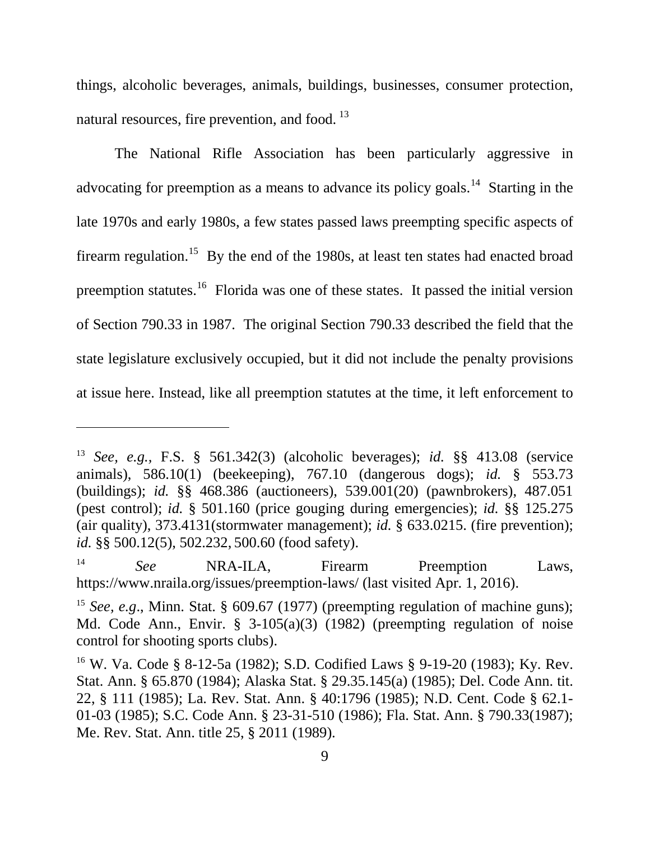things, alcoholic beverages, animals, buildings, businesses, consumer protection, natural resources, fire prevention, and food.<sup>[13](#page-15-14)</sup>

The National Rifle Association has been particularly aggressive in advocating for preemption as a means to advance its policy goals.<sup>14</sup> Starting in the late 1970s and early 1980s, a few states passed laws preempting specific aspects of firearm regulation.<sup>15</sup> By the end of the 1980s, at least ten states had enacted broad preemption statutes.<sup>16</sup> Florida was one of these states. It passed the initial version of Section 790.33 in 1987. The original Section 790.33 described the field that the state legislature exclusively occupied, but it did not include the penalty provisions at issue here. Instead, like all preemption statutes at the time, it left enforcement to

<span id="page-15-14"></span><span id="page-15-2"></span><sup>13</sup> *See, e.g.,* F.S. § 561.342(3) (alcoholic beverages); *id.* §§ 413.08 (service animals), 586.10(1) (beekeeping), 767.10 (dangerous dogs); *id.* § 553.73 (buildings); *id.* §§ 468.386 (auctioneers), 539.001(20) (pawnbrokers), 487.051 (pest control); *id.* § 501.160 (price gouging during emergencies); *id.* §§ 125.275 (air quality), 373.4131(stormwater management); *id.* § 633.0215. (fire prevention); *id.* §§ 500.12(5), 502.232, 500.60 (food safety).

<span id="page-15-15"></span><span id="page-15-13"></span><sup>&</sup>lt;sup>14</sup> *See* **NRA-ILA**, Firearm Preemption Laws, https://www.nraila.org/issues/preemption-laws/ (last visited Apr. 1, 2016).

<span id="page-15-16"></span><span id="page-15-8"></span><span id="page-15-6"></span><sup>&</sup>lt;sup>15</sup> *See, e.g.*, Minn. Stat. § 609.67 (1977) (preempting regulation of machine guns); Md. Code Ann., Envir. § 3-105(a)(3) (1982) (preempting regulation of noise control for shooting sports clubs).

<span id="page-15-17"></span><span id="page-15-12"></span><span id="page-15-11"></span><span id="page-15-10"></span><span id="page-15-9"></span><span id="page-15-7"></span><span id="page-15-5"></span><span id="page-15-4"></span><span id="page-15-3"></span><span id="page-15-1"></span><span id="page-15-0"></span><sup>16</sup> W. Va. Code § 8-12-5a (1982); S.D. Codified Laws § 9-19-20 (1983); Ky. Rev. Stat. Ann. § 65.870 (1984); Alaska Stat. § 29.35.145(a) (1985); Del. Code Ann. tit. 22, § 111 (1985); La. Rev. Stat. Ann. § 40:1796 (1985); N.D. Cent. Code § 62.1- 01-03 (1985); S.C. Code Ann. § 23-31-510 (1986); Fla. Stat. Ann. § 790.33(1987); Me. Rev. Stat. Ann. title 25, § 2011 (1989).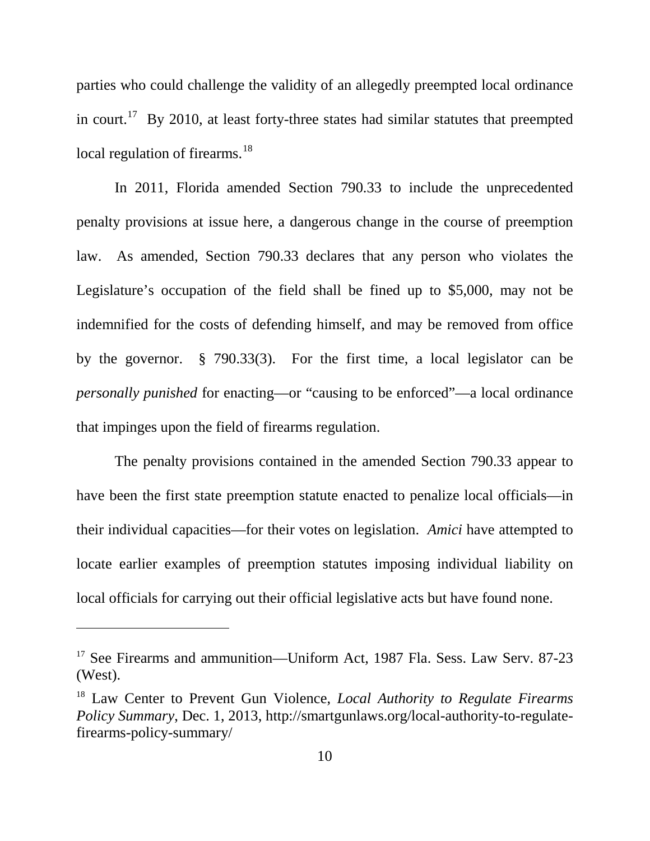parties who could challenge the validity of an allegedly preempted local ordinance in court.<sup>[17](#page-16-3)</sup> By 2010, at least forty-three states had similar statutes that preempted local regulation of firearms.<sup>[18](#page-16-4)</sup>

In 2011, Florida amended Section 790.33 to include the unprecedented penalty provisions at issue here, a dangerous change in the course of preemption law. As amended, Section 790.33 declares that any person who violates the Legislature's occupation of the field shall be fined up to \$5,000, may not be indemnified for the costs of defending himself, and may be removed from office by the governor. § 790.33(3). For the first time, a local legislator can be *personally punished* for enacting—or "causing to be enforced"—a local ordinance that impinges upon the field of firearms regulation.

The penalty provisions contained in the amended Section 790.33 appear to have been the first state preemption statute enacted to penalize local officials—in their individual capacities—for their votes on legislation. *Amici* have attempted to locate earlier examples of preemption statutes imposing individual liability on local officials for carrying out their official legislative acts but have found none.

<span id="page-16-3"></span><span id="page-16-0"></span><sup>&</sup>lt;sup>17</sup> See Firearms and ammunition—Uniform Act, 1987 Fla. Sess. Law Serv. 87-23 (West).

<span id="page-16-4"></span><span id="page-16-2"></span><span id="page-16-1"></span><sup>18</sup> Law Center to Prevent Gun Violence, *Local Authority to Regulate Firearms Policy Summary*, Dec. 1, 2013, http://smartgunlaws.org/local-authority-to-regulatefirearms-policy-summary/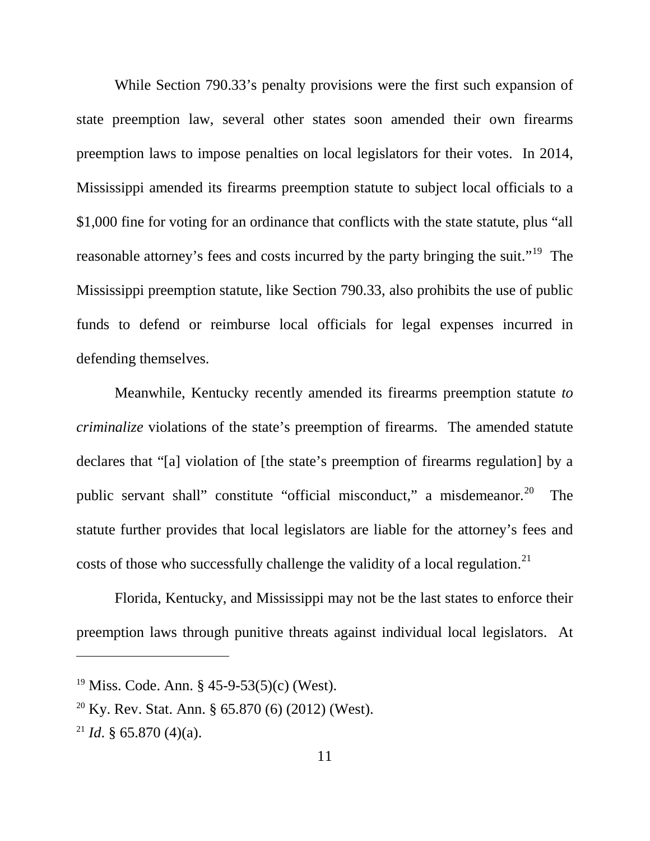While Section 790.33's penalty provisions were the first such expansion of state preemption law, several other states soon amended their own firearms preemption laws to impose penalties on local legislators for their votes. In 2014, Mississippi amended its firearms preemption statute to subject local officials to a \$1,000 fine for voting for an ordinance that conflicts with the state statute, plus "all reasonable attorney's fees and costs incurred by the party bringing the suit."<sup>19</sup> The Mississippi preemption statute, like Section 790.33, also prohibits the use of public funds to defend or reimburse local officials for legal expenses incurred in defending themselves.

<span id="page-17-5"></span>Meanwhile, Kentucky recently amended its firearms preemption statute *to criminalize* violations of the state's preemption of firearms. The amended statute declares that "[a] violation of [the state's preemption of firearms regulation] by a public servant shall" constitute "official misconduct," a misdemeanor.<sup>[20](#page-17-3)</sup> The statute further provides that local legislators are liable for the attorney's fees and costs of those who successfully challenge the validity of a local regulation.<sup>[21](#page-17-4)</sup>

Florida, Kentucky, and Mississippi may not be the last states to enforce their preemption laws through punitive threats against individual local legislators. At

<span id="page-17-2"></span><span id="page-17-1"></span><sup>&</sup>lt;sup>19</sup> Miss. Code. Ann. § 45-9-53(5)(c) (West).

<span id="page-17-3"></span><span id="page-17-0"></span><sup>&</sup>lt;sup>20</sup> Ky. Rev. Stat. Ann. § 65.870 (6) (2012) (West).

<span id="page-17-4"></span><sup>&</sup>lt;sup>21</sup> *Id.* § 65.870 (4)(a).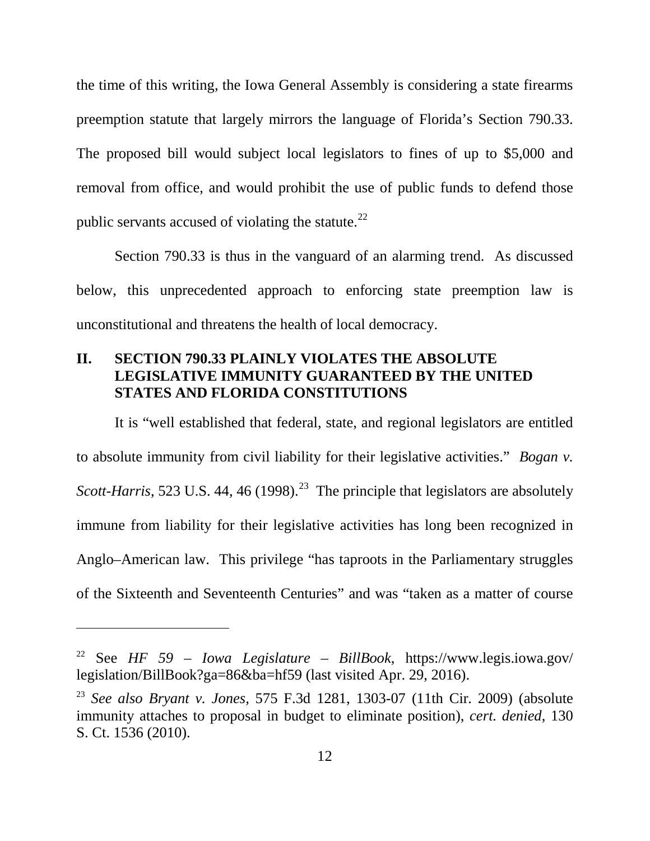the time of this writing, the Iowa General Assembly is considering a state firearms preemption statute that largely mirrors the language of Florida's Section 790.33. The proposed bill would subject local legislators to fines of up to \$5,000 and removal from office, and would prohibit the use of public funds to defend those public servants accused of violating the statute. $^{22}$  $^{22}$  $^{22}$ 

Section 790.33 is thus in the vanguard of an alarming trend. As discussed below, this unprecedented approach to enforcing state preemption law is unconstitutional and threatens the health of local democracy.

# **II. SECTION 790.33 PLAINLY VIOLATES THE ABSOLUTE LEGISLATIVE IMMUNITY GUARANTEED BY THE UNITED STATES AND FLORIDA CONSTITUTIONS**

<span id="page-18-0"></span>It is "well established that federal, state, and regional legislators are entitled to absolute immunity from civil liability for their legislative activities." *Bogan v. Scott-Harris*, 5[23](#page-18-4) U.S. 44, 46 (1998).<sup>23</sup> The principle that legislators are absolutely immune from liability for their legislative activities has long been recognized in Anglo–American law. This privilege "has taproots in the Parliamentary struggles of the Sixteenth and Seventeenth Centuries" and was "taken as a matter of course

<span id="page-18-3"></span><span id="page-18-2"></span><sup>22</sup> See *HF 59 – Iowa Legislature – BillBook*, https://www.legis.iowa.gov/ legislation/BillBook?ga=86&ba=hf59 (last visited Apr. 29, 2016).

<span id="page-18-4"></span><span id="page-18-1"></span><sup>23</sup> *See also Bryant v. Jones*, 575 F.3d 1281, 1303-07 (11th Cir. 2009) (absolute immunity attaches to proposal in budget to eliminate position), *cert. denied*, 130 S. Ct. 1536 (2010).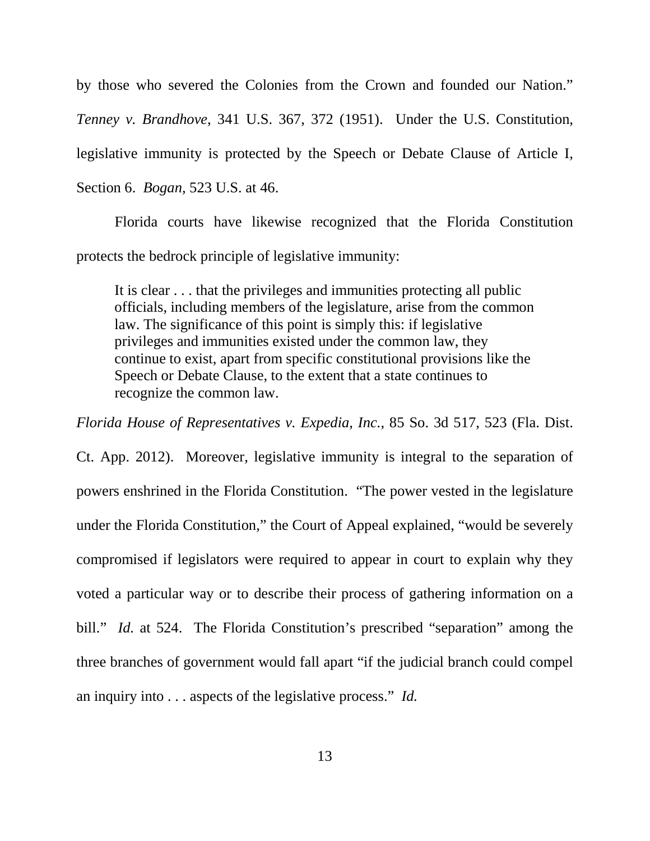<span id="page-19-4"></span><span id="page-19-1"></span>by those who severed the Colonies from the Crown and founded our Nation." *Tenney v. Brandhove*, 341 U.S. 367, 372 (1951). Under the U.S. Constitution, legislative immunity is protected by the Speech or Debate Clause of Article I, Section 6. *Bogan,* 523 U.S. at 46.

<span id="page-19-0"></span>Florida courts have likewise recognized that the Florida Constitution protects the bedrock principle of legislative immunity:

<span id="page-19-3"></span>It is clear . . . that the privileges and immunities protecting all public officials, including members of the legislature, arise from the common law. The significance of this point is simply this: if legislative privileges and immunities existed under the common law, they continue to exist, apart from specific constitutional provisions like the Speech or Debate Clause, to the extent that a state continues to recognize the common law.

<span id="page-19-2"></span>*Florida House of Representatives v. Expedia, Inc.*, 85 So. 3d 517, 523 (Fla. Dist.

Ct. App. 2012). Moreover, legislative immunity is integral to the separation of powers enshrined in the Florida Constitution. "The power vested in the legislature under the Florida Constitution," the Court of Appeal explained, "would be severely compromised if legislators were required to appear in court to explain why they voted a particular way or to describe their process of gathering information on a bill." *Id.* at 524. The Florida Constitution's prescribed "separation" among the three branches of government would fall apart "if the judicial branch could compel an inquiry into . . . aspects of the legislative process." *Id.*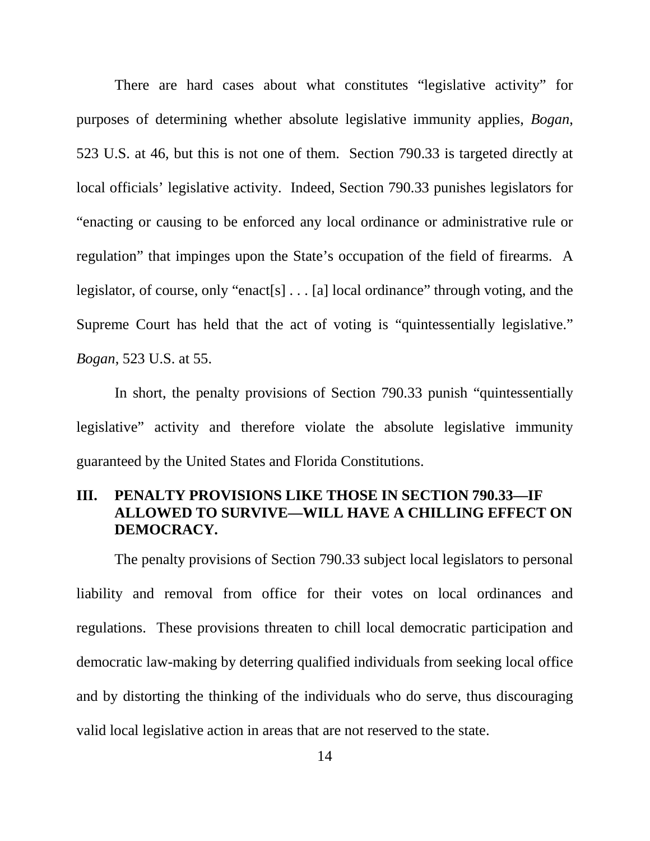There are hard cases about what constitutes "legislative activity" for purposes of determining whether absolute legislative immunity applies, *Bogan*, 523 U.S. at 46, but this is not one of them. Section 790.33 is targeted directly at local officials' legislative activity. Indeed, Section 790.33 punishes legislators for "enacting or causing to be enforced any local ordinance or administrative rule or regulation" that impinges upon the State's occupation of the field of firearms. A legislator, of course, only "enact[s] . . . [a] local ordinance" through voting, and the Supreme Court has held that the act of voting is "quintessentially legislative." *Bogan*, 523 U.S. at 55.

<span id="page-20-0"></span>In short, the penalty provisions of Section 790.33 punish "quintessentially legislative" activity and therefore violate the absolute legislative immunity guaranteed by the United States and Florida Constitutions.

## **III. PENALTY PROVISIONS LIKE THOSE IN SECTION 790.33—IF ALLOWED TO SURVIVE—WILL HAVE A CHILLING EFFECT ON DEMOCRACY.**

The penalty provisions of Section 790.33 subject local legislators to personal liability and removal from office for their votes on local ordinances and regulations. These provisions threaten to chill local democratic participation and democratic law-making by deterring qualified individuals from seeking local office and by distorting the thinking of the individuals who do serve, thus discouraging valid local legislative action in areas that are not reserved to the state.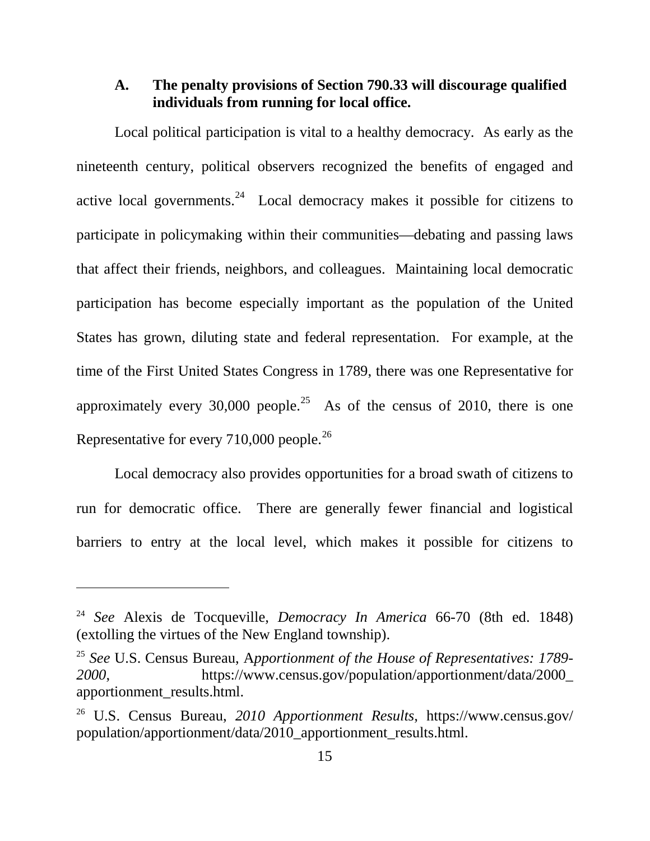## **A. The penalty provisions of Section 790.33 will discourage qualified individuals from running for local office.**

Local political participation is vital to a healthy democracy. As early as the nineteenth century, political observers recognized the benefits of engaged and active local governments.<sup>[24](#page-21-3)</sup> Local democracy makes it possible for citizens to participate in policymaking within their communities—debating and passing laws that affect their friends, neighbors, and colleagues. Maintaining local democratic participation has become especially important as the population of the United States has grown, diluting state and federal representation. For example, at the time of the First United States Congress in 1789, there was one Representative for approximately every 30,000 people.<sup>[25](#page-21-4)</sup> As of the census of 2010, there is one Representative for every 710,000 people.[26](#page-21-5)

Local democracy also provides opportunities for a broad swath of citizens to run for democratic office. There are generally fewer financial and logistical barriers to entry at the local level, which makes it possible for citizens to

<span id="page-21-3"></span><span id="page-21-0"></span><sup>24</sup> *See* Alexis de Tocqueville, *Democracy In America* 66-70 (8th ed. 1848) (extolling the virtues of the New England township).

<span id="page-21-4"></span><span id="page-21-2"></span><sup>25</sup> *See* U.S. Census Bureau, A*pportionment of the House of Representatives: 1789- 2000*, https://www.census.gov/population/apportionment/data/2000\_ apportionment\_results.html.

<span id="page-21-5"></span><span id="page-21-1"></span><sup>26</sup> U.S. Census Bureau, *2010 Apportionment Results*, https://www.census.gov/ population/apportionment/data/2010\_apportionment\_results.html.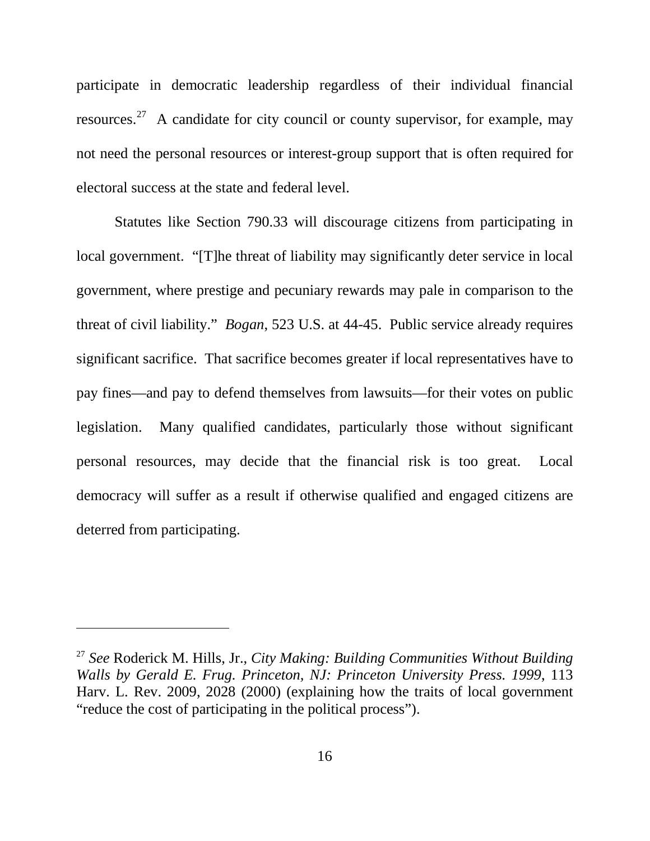participate in democratic leadership regardless of their individual financial resources.<sup>[27](#page-22-2)</sup> A candidate for city council or county supervisor, for example, may not need the personal resources or interest-group support that is often required for electoral success at the state and federal level.

<span id="page-22-0"></span>Statutes like Section 790.33 will discourage citizens from participating in local government. "[T]he threat of liability may significantly deter service in local government, where prestige and pecuniary rewards may pale in comparison to the threat of civil liability." *Bogan*, 523 U.S. at 44-45. Public service already requires significant sacrifice. That sacrifice becomes greater if local representatives have to pay fines—and pay to defend themselves from lawsuits—for their votes on public legislation. Many qualified candidates, particularly those without significant personal resources, may decide that the financial risk is too great. Local democracy will suffer as a result if otherwise qualified and engaged citizens are deterred from participating.

<span id="page-22-2"></span><span id="page-22-1"></span><sup>27</sup> *See* Roderick M. Hills, Jr., *City Making: Building Communities Without Building Walls by Gerald E. Frug. Princeton, NJ: Princeton University Press. 1999*, 113 Harv. L. Rev. 2009, 2028 (2000) (explaining how the traits of local government "reduce the cost of participating in the political process").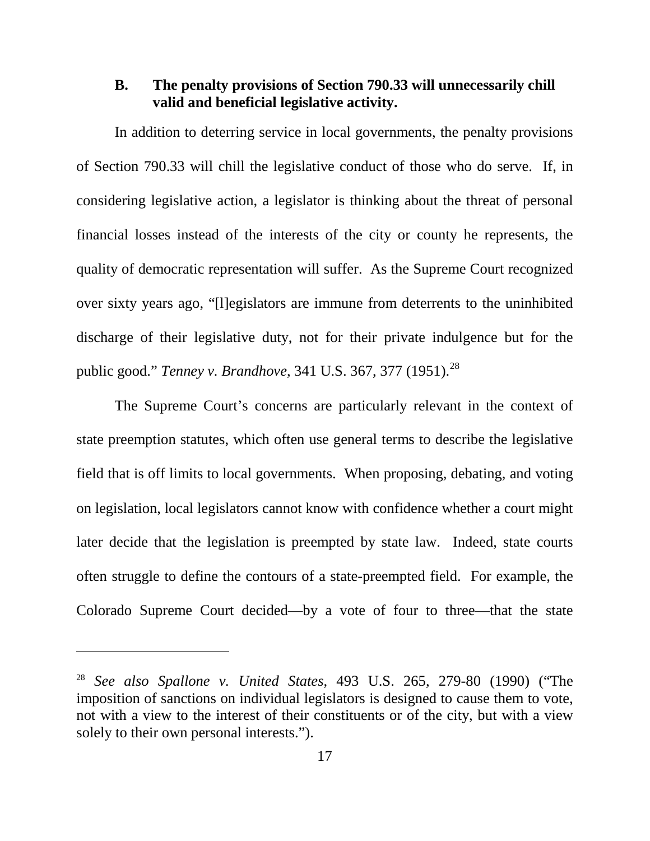#### **B. The penalty provisions of Section 790.33 will unnecessarily chill valid and beneficial legislative activity.**

In addition to deterring service in local governments, the penalty provisions of Section 790.33 will chill the legislative conduct of those who do serve. If, in considering legislative action, a legislator is thinking about the threat of personal financial losses instead of the interests of the city or county he represents, the quality of democratic representation will suffer. As the Supreme Court recognized over sixty years ago, "[l]egislators are immune from deterrents to the uninhibited discharge of their legislative duty, not for their private indulgence but for the public good." *Tenney v. Brandhove*, 341 U.S. 367, 377 (1951).<sup>[28](#page-23-2)</sup>

<span id="page-23-1"></span>The Supreme Court's concerns are particularly relevant in the context of state preemption statutes, which often use general terms to describe the legislative field that is off limits to local governments. When proposing, debating, and voting on legislation, local legislators cannot know with confidence whether a court might later decide that the legislation is preempted by state law. Indeed, state courts often struggle to define the contours of a state-preempted field. For example, the Colorado Supreme Court decided—by a vote of four to three—that the state

<span id="page-23-2"></span><span id="page-23-0"></span><sup>28</sup> *See also Spallone v. United States*, 493 U.S. 265, 279-80 (1990) ("The imposition of sanctions on individual legislators is designed to cause them to vote, not with a view to the interest of their constituents or of the city, but with a view solely to their own personal interests.").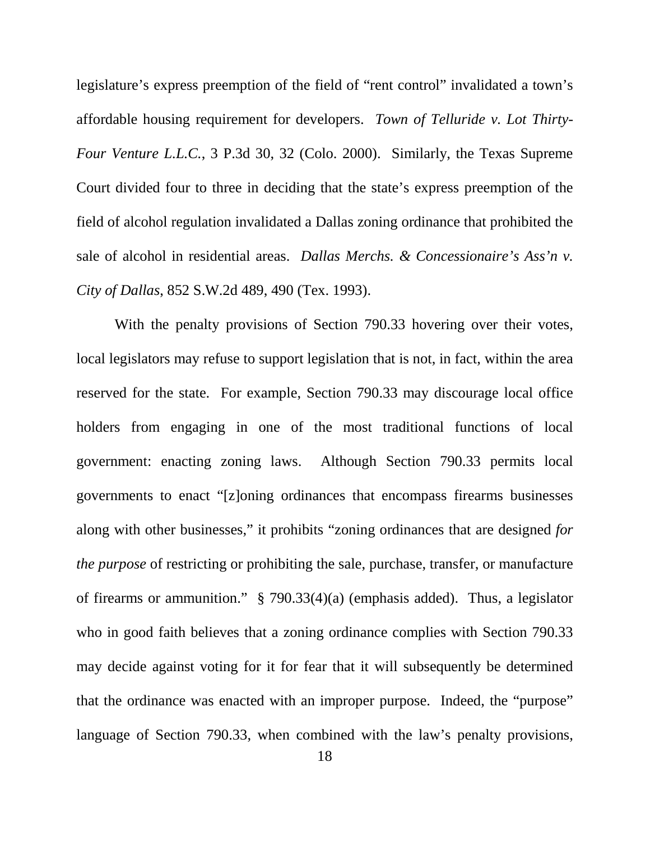<span id="page-24-1"></span>legislature's express preemption of the field of "rent control" invalidated a town's affordable housing requirement for developers. *Town of Telluride v. Lot Thirty-Four Venture L.L.C.*, 3 P.3d 30, 32 (Colo. 2000). Similarly, the Texas Supreme Court divided four to three in deciding that the state's express preemption of the field of alcohol regulation invalidated a Dallas zoning ordinance that prohibited the sale of alcohol in residential areas. *Dallas Merchs. & Concessionaire's Ass'n v. City of Dallas*, 852 S.W.2d 489, 490 (Tex. 1993).

<span id="page-24-0"></span>With the penalty provisions of Section 790.33 hovering over their votes, local legislators may refuse to support legislation that is not, in fact, within the area reserved for the state. For example, Section 790.33 may discourage local office holders from engaging in one of the most traditional functions of local government: enacting zoning laws. Although Section 790.33 permits local governments to enact "[z]oning ordinances that encompass firearms businesses along with other businesses," it prohibits "zoning ordinances that are designed *for the purpose* of restricting or prohibiting the sale, purchase, transfer, or manufacture of firearms or ammunition." § 790.33(4)(a) (emphasis added). Thus, a legislator who in good faith believes that a zoning ordinance complies with Section 790.33 may decide against voting for it for fear that it will subsequently be determined that the ordinance was enacted with an improper purpose. Indeed, the "purpose" language of Section 790.33, when combined with the law's penalty provisions,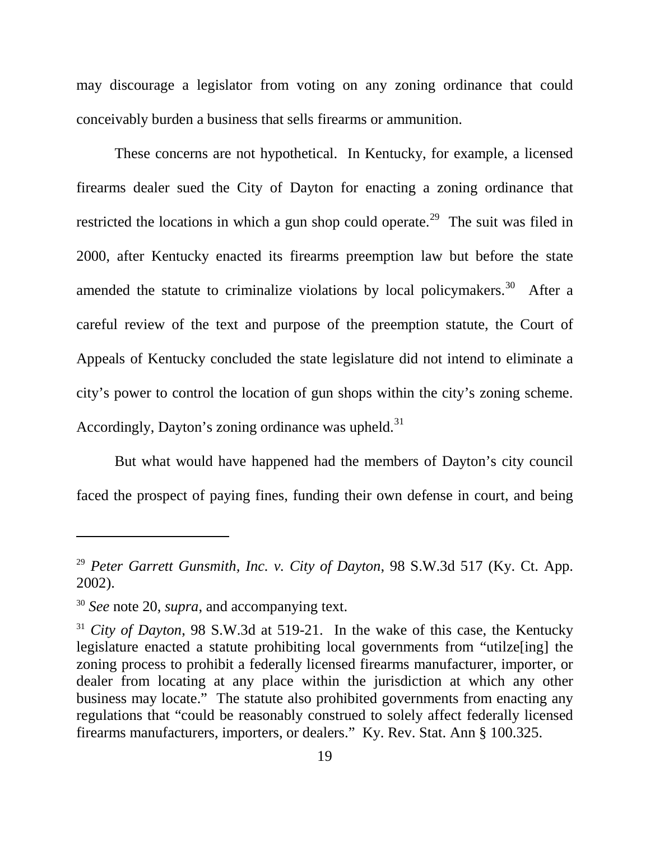may discourage a legislator from voting on any zoning ordinance that could conceivably burden a business that sells firearms or ammunition.

These concerns are not hypothetical. In Kentucky, for example, a licensed firearms dealer sued the City of Dayton for enacting a zoning ordinance that restricted the locations in which a gun shop could operate.<sup>[29](#page-25-2)</sup> The suit was filed in 2000, after Kentucky enacted its firearms preemption law but before the state amended the statute to criminalize violations by local policymakers.<sup>[30](#page-25-3)</sup> After a careful review of the text and purpose of the preemption statute, the Court of Appeals of Kentucky concluded the state legislature did not intend to eliminate a city's power to control the location of gun shops within the city's zoning scheme. Accordingly, Dayton's zoning ordinance was upheld.<sup>[31](#page-25-4)</sup>

But what would have happened had the members of Dayton's city council faced the prospect of paying fines, funding their own defense in court, and being

<span id="page-25-2"></span><span id="page-25-0"></span><sup>29</sup> *Peter Garrett Gunsmith, Inc. v. City of Dayton*, 98 S.W.3d 517 (Ky. Ct. App. 2002).

<span id="page-25-3"></span><sup>30</sup> *See* note [20,](#page-17-5) *supra*, and accompanying text.

<span id="page-25-4"></span><span id="page-25-1"></span><sup>&</sup>lt;sup>31</sup> *City of Dayton*, 98 S.W.3d at 519-21. In the wake of this case, the Kentucky legislature enacted a statute prohibiting local governments from "utilze[ing] the zoning process to prohibit a federally licensed firearms manufacturer, importer, or dealer from locating at any place within the jurisdiction at which any other business may locate." The statute also prohibited governments from enacting any regulations that "could be reasonably construed to solely affect federally licensed firearms manufacturers, importers, or dealers." Ky. Rev. Stat. Ann § 100.325.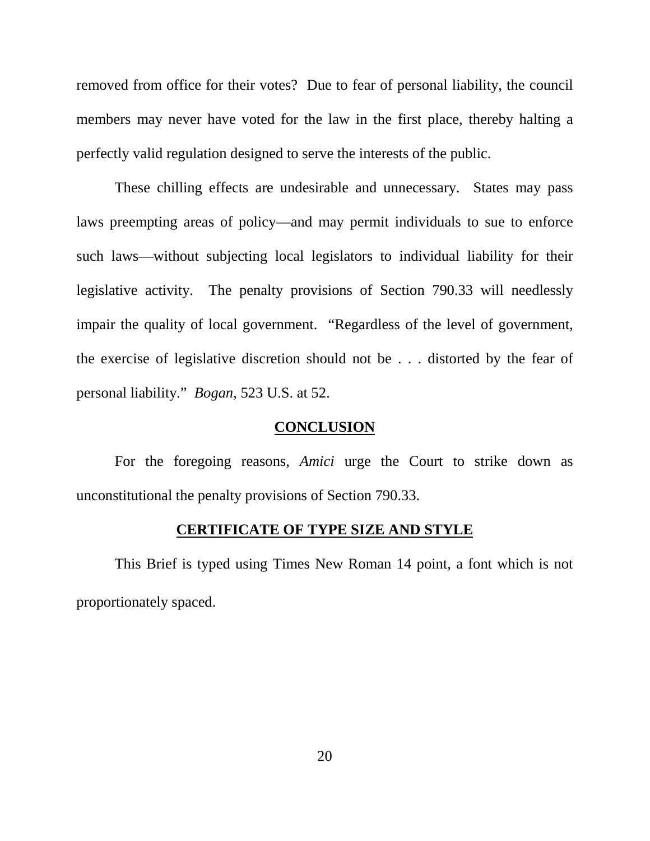removed from office for their votes? Due to fear of personal liability, the council members may never have voted for the law in the first place, thereby halting a perfectly valid regulation designed to serve the interests of the public.

These chilling effects are undesirable and unnecessary. States may pass laws preempting areas of policy—and may permit individuals to sue to enforce such laws—without subjecting local legislators to individual liability for their legislative activity. The penalty provisions of Section 790.33 will needlessly impair the quality of local government. "Regardless of the level of government, the exercise of legislative discretion should not be . . . distorted by the fear of personal liability." *Bogan*, 523 U.S. at 52.

## <span id="page-26-0"></span>**CONCLUSION**

For the foregoing reasons, *Amici* urge the Court to strike down as unconstitutional the penalty provisions of Section 790.33.

#### **CERTIFICATE OF TYPE SIZE AND STYLE**

This Brief is typed using Times New Roman 14 point, a font which is not proportionately spaced.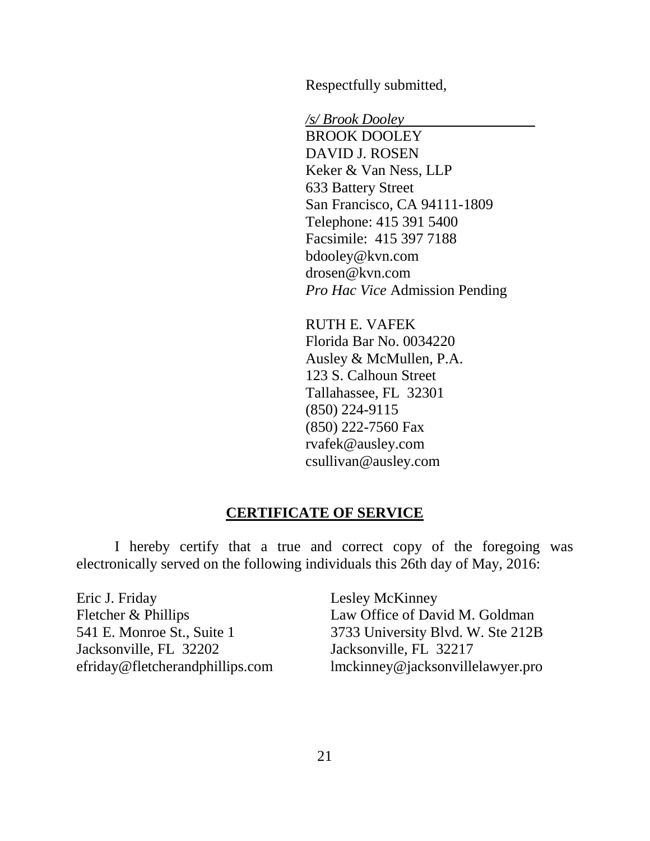Respectfully submitted,

*/s/ Brook Dooley* BROOK DOOLEY DAVID J. ROSEN Keker & Van Ness, LLP 633 Battery Street San Francisco, CA 94111-1809 Telephone: 415 391 5400 Facsimile: 415 397 7188 bdooley@kvn.com drosen@kvn.com *Pro Hac Vice* Admission Pending

RUTH E. VAFEK Florida Bar No. 0034220 Ausley & McMullen, P.A. 123 S. Calhoun Street Tallahassee, FL 32301 (850) 224-9115 (850) 222-7560 Fax rvafek@ausley.com csullivan@ausley.com

# **CERTIFICATE OF SERVICE**

I hereby certify that a true and correct copy of the foregoing was electronically served on the following individuals this 26th day of May, 2016:

Eric J. Friday Fletcher & Phillips 541 E. Monroe St., Suite 1 Jacksonville, FL 32202 efriday@fletcherandphillips.com Lesley McKinney Law Office of David M. Goldman 3733 University Blvd. W. Ste 212B Jacksonville, FL 32217 lmckinney@jacksonvillelawyer.pro